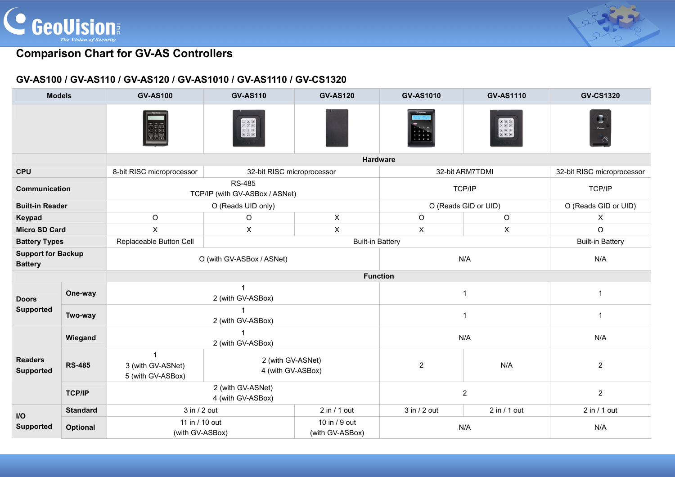



## **GV-AS100 / GV-AS110 / GV-AS120 / GV-AS1010 / GV-AS1110 / GV-CS1320**

| <b>Models</b>                               |                 | <b>GV-AS100</b>                                        | <b>GV-AS110</b>                                                                                                                                                                                                                                                                                                                                                                                     | <b>GV-AS120</b>                  | <b>GV-AS1010</b>     | <b>GV-AS1110</b> | <b>GV-CS1320</b>           |  |
|---------------------------------------------|-----------------|--------------------------------------------------------|-----------------------------------------------------------------------------------------------------------------------------------------------------------------------------------------------------------------------------------------------------------------------------------------------------------------------------------------------------------------------------------------------------|----------------------------------|----------------------|------------------|----------------------------|--|
|                                             |                 |                                                        | $\begin{tabular}{ c c c c c c c } \hline \hline $\mathbb{H}$ & $\mathbb{H}$ & $\mathbb{H}$ \\ \hline $\mathbb{H}$ & $\mathbb{H}$ & $\mathbb{H}$ & $\mathbb{H}$ \\ \hline $\mathbb{H}$ & $\mathbb{H}$ & $\mathbb{H}$ & $\mathbb{H}$ \\ \hline $\mathbb{H}$ & $\mathbb{H}$ & $\mathbb{H}$ & $\mathbb{H}$ \\ \hline $\mathbb{H}$ & $\mathbb{H}$ & $\mathbb{H}$ & $\mathbb{H}$ \\ \hline \end{tabular}$ |                                  |                      |                  |                            |  |
|                                             |                 |                                                        |                                                                                                                                                                                                                                                                                                                                                                                                     | <b>Hardware</b>                  |                      |                  |                            |  |
| <b>CPU</b>                                  |                 | 8-bit RISC microprocessor                              | 32-bit RISC microprocessor                                                                                                                                                                                                                                                                                                                                                                          |                                  | 32-bit ARM7TDMI      |                  | 32-bit RISC microprocessor |  |
| Communication                               |                 | <b>RS-485</b><br>TCP/IP (with GV-ASBox / ASNet)        |                                                                                                                                                                                                                                                                                                                                                                                                     |                                  | TCP/IP               |                  | TCP/IP                     |  |
| <b>Built-in Reader</b>                      |                 | O (Reads UID only)                                     |                                                                                                                                                                                                                                                                                                                                                                                                     |                                  | O (Reads GID or UID) |                  | O (Reads GID or UID)       |  |
| Keypad                                      |                 | $\circ$                                                | $\Omega$                                                                                                                                                                                                                                                                                                                                                                                            | $\mathsf{X}$                     | $\circ$              | $\circ$          | X                          |  |
| <b>Micro SD Card</b>                        |                 | $\times$                                               | X                                                                                                                                                                                                                                                                                                                                                                                                   | $\boldsymbol{\mathsf{X}}$        | $\pmb{\times}$       | $\pmb{\times}$   | $\circ$                    |  |
| <b>Battery Types</b>                        |                 | Replaceable Button Cell                                | <b>Built-in Battery</b><br><b>Built-in Battery</b>                                                                                                                                                                                                                                                                                                                                                  |                                  |                      |                  |                            |  |
| <b>Support for Backup</b><br><b>Battery</b> |                 | O (with GV-ASBox / ASNet)                              |                                                                                                                                                                                                                                                                                                                                                                                                     |                                  | N/A                  |                  | N/A                        |  |
|                                             |                 | <b>Function</b>                                        |                                                                                                                                                                                                                                                                                                                                                                                                     |                                  |                      |                  |                            |  |
| <b>Doors</b><br><b>Supported</b>            | One-way         | $\mathbf{1}$<br>2 (with GV-ASBox)                      |                                                                                                                                                                                                                                                                                                                                                                                                     |                                  | 1                    |                  | $\mathbf{1}$               |  |
|                                             | Two-way         | 2 (with GV-ASBox)                                      |                                                                                                                                                                                                                                                                                                                                                                                                     |                                  | 1                    |                  | $\mathbf{1}$               |  |
|                                             | Wiegand         | $\blacktriangleleft$<br>2 (with GV-ASBox)              |                                                                                                                                                                                                                                                                                                                                                                                                     |                                  | N/A                  |                  | N/A                        |  |
| <b>Readers</b><br><b>Supported</b>          | <b>RS-485</b>   | $\mathbf{1}$<br>3 (with GV-ASNet)<br>5 (with GV-ASBox) | 2 (with GV-ASNet)<br>4 (with GV-ASBox)                                                                                                                                                                                                                                                                                                                                                              |                                  | 2                    | N/A              | $\overline{2}$             |  |
|                                             | <b>TCP/IP</b>   | 2 (with GV-ASNet)<br>4 (with GV-ASBox)                 |                                                                                                                                                                                                                                                                                                                                                                                                     |                                  | $\overline{2}$       |                  | $\overline{2}$             |  |
| $\mathsf{I}/\mathsf{O}$                     | <b>Standard</b> | 3 in / 2 out                                           |                                                                                                                                                                                                                                                                                                                                                                                                     | 2 in / 1 out                     | 3 in / 2 out         | 2 in / 1 out     | 2 in / 1 out               |  |
| <b>Supported</b>                            | <b>Optional</b> | 11 in / 10 out<br>(with GV-ASBox)                      |                                                                                                                                                                                                                                                                                                                                                                                                     | 10 in / 9 out<br>(with GV-ASBox) | N/A                  |                  | N/A                        |  |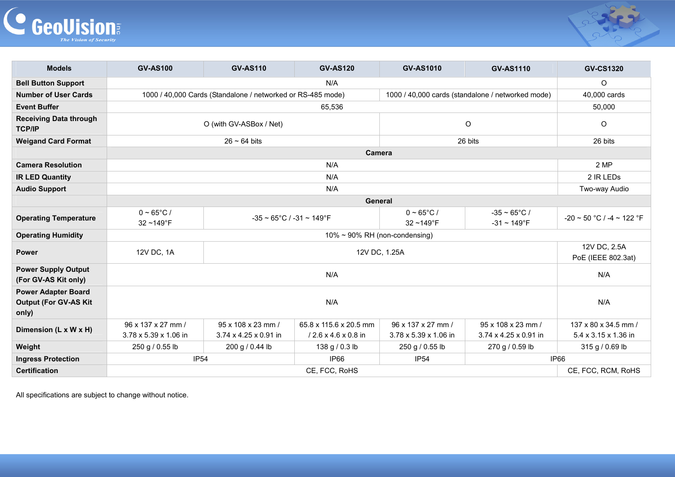



| <b>Models</b>                                                       | <b>GV-AS100</b>                                                                                                  | <b>GV-AS110</b>                                    | <b>GV-AS120</b>                                           | <b>GV-AS1010</b>                            | <b>GV-AS1110</b>                               | <b>GV-CS1320</b>                             |  |
|---------------------------------------------------------------------|------------------------------------------------------------------------------------------------------------------|----------------------------------------------------|-----------------------------------------------------------|---------------------------------------------|------------------------------------------------|----------------------------------------------|--|
| <b>Bell Button Support</b>                                          | N/A                                                                                                              |                                                    |                                                           |                                             |                                                | O                                            |  |
| <b>Number of User Cards</b>                                         | 1000 / 40,000 Cards (Standalone / networked or RS-485 mode)<br>1000 / 40,000 cards (standalone / networked mode) |                                                    |                                                           |                                             |                                                | 40,000 cards                                 |  |
| <b>Event Buffer</b>                                                 |                                                                                                                  |                                                    | 65,536                                                    |                                             |                                                | 50,000                                       |  |
| <b>Receiving Data through</b><br><b>TCP/IP</b>                      | O (with GV-ASBox / Net)                                                                                          |                                                    |                                                           | O                                           | O                                              |                                              |  |
| <b>Weigand Card Format</b>                                          | $26 \sim 64$ bits                                                                                                |                                                    |                                                           |                                             | 26 bits                                        |                                              |  |
|                                                                     | Camera                                                                                                           |                                                    |                                                           |                                             |                                                |                                              |  |
| <b>Camera Resolution</b>                                            |                                                                                                                  | 2 MP                                               |                                                           |                                             |                                                |                                              |  |
| <b>IR LED Quantity</b>                                              |                                                                                                                  | 2 IR LEDS                                          |                                                           |                                             |                                                |                                              |  |
| <b>Audio Support</b>                                                |                                                                                                                  | Two-way Audio                                      |                                                           |                                             |                                                |                                              |  |
|                                                                     | General                                                                                                          |                                                    |                                                           |                                             |                                                |                                              |  |
| <b>Operating Temperature</b>                                        | $0 \sim 65^{\circ}$ C /<br>$32 - 149$ °F                                                                         | $-35 \sim 65^{\circ}$ C / $-31 \sim 149^{\circ}$ F |                                                           | $0 - 65^{\circ}$ C /<br>32~149°F            | $-35 \sim 65^{\circ}$ C /<br>$-31 \sim 149$ °F | $-20 \sim 50$ °C / -4 $\sim$ 122 °F          |  |
| <b>Operating Humidity</b>                                           | $10\% \sim 90\%$ RH (non-condensing)                                                                             |                                                    |                                                           |                                             |                                                |                                              |  |
| <b>Power</b>                                                        | 12V DC, 1A<br>12V DC, 1.25A                                                                                      |                                                    |                                                           |                                             |                                                | 12V DC, 2.5A<br>PoE (IEEE 802.3at)           |  |
| <b>Power Supply Output</b><br>(For GV-AS Kit only)                  | N/A                                                                                                              |                                                    |                                                           |                                             |                                                | N/A                                          |  |
| <b>Power Adapter Board</b><br><b>Output (For GV-AS Kit</b><br>only) | N/A                                                                                                              |                                                    |                                                           |                                             |                                                | N/A                                          |  |
| Dimension (L x W x H)                                               | 96 x 137 x 27 mm /<br>3.78 x 5.39 x 1.06 in                                                                      | 95 x 108 x 23 mm /<br>3.74 x 4.25 x 0.91 in        | 65.8 x 115.6 x 20.5 mm<br>$/2.6 \times 4.6 \times 0.8$ in | 96 x 137 x 27 mm /<br>3.78 x 5.39 x 1.06 in | 95 x 108 x 23 mm /<br>3.74 x 4.25 x 0.91 in    | 137 x 80 x 34.5 mm /<br>5.4 x 3.15 x 1.36 in |  |
| Weight                                                              | 250 g / 0.55 lb                                                                                                  | 200 g / 0.44 lb                                    | 138 g / 0.3 lb                                            | 250 g / 0.55 lb                             | 270 g / 0.59 lb                                | 315 g / 0.69 lb                              |  |
| <b>Ingress Protection</b>                                           | <b>IP54</b>                                                                                                      |                                                    | IP66                                                      | <b>IP54</b><br>IP66                         |                                                |                                              |  |
| <b>Certification</b>                                                | CE, FCC, RCM, RoHS<br>CE, FCC, RoHS                                                                              |                                                    |                                                           |                                             |                                                |                                              |  |

All specifications are subject to change without notice.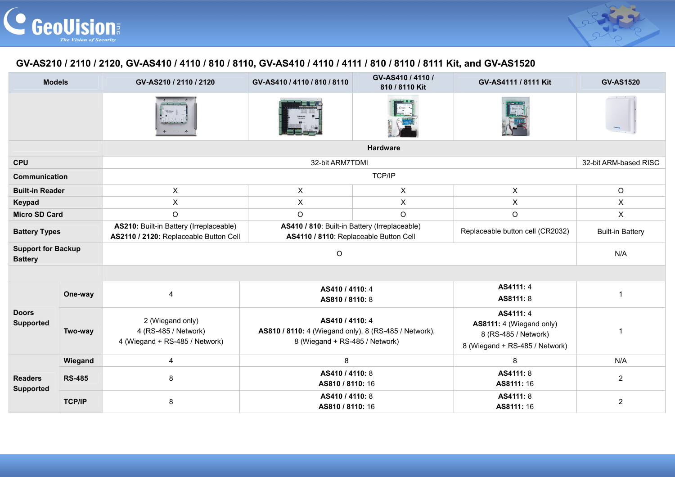



## **GV-AS210 / 2110 / 2120, GV-AS410 / 4110 / 810 / 8110, GV-AS410 / 4110 / 4111 / 810 / 8110 / 8111 Kit, and GV-AS1520**

| <b>Models</b>                               |               | GV-AS210 / 2110 / 2120                                                            | GV-AS410 / 4110 / 810 / 8110                                                                               | GV-AS410 / 4110 /<br>810 / 8110 Kit | GV-AS4111 / 8111 Kit                                                                            | <b>GV-AS1520</b>        |  |  |  |
|---------------------------------------------|---------------|-----------------------------------------------------------------------------------|------------------------------------------------------------------------------------------------------------|-------------------------------------|-------------------------------------------------------------------------------------------------|-------------------------|--|--|--|
|                                             |               |                                                                                   |                                                                                                            |                                     |                                                                                                 |                         |  |  |  |
|                                             |               | <b>Hardware</b>                                                                   |                                                                                                            |                                     |                                                                                                 |                         |  |  |  |
| <b>CPU</b>                                  |               |                                                                                   | 32-bit ARM7TDMI                                                                                            |                                     |                                                                                                 | 32-bit ARM-based RISC   |  |  |  |
| Communication                               |               | TCP/IP                                                                            |                                                                                                            |                                     |                                                                                                 |                         |  |  |  |
| <b>Built-in Reader</b>                      |               | $\pmb{\times}$                                                                    | $\pmb{\times}$                                                                                             | $\pmb{\times}$                      | $\pmb{\times}$                                                                                  | O                       |  |  |  |
| Keypad                                      |               | X                                                                                 | X<br>X                                                                                                     |                                     | X                                                                                               | X                       |  |  |  |
| <b>Micro SD Card</b>                        |               | $\circ$                                                                           | $\circ$                                                                                                    | $\circ$                             | $\circ$                                                                                         | $\pmb{\times}$          |  |  |  |
| <b>Battery Types</b>                        |               | AS210: Built-in Battery (Irreplaceable)<br>AS2110 / 2120: Replaceable Button Cell | AS410 / 810: Built-in Battery (Irreplaceable)<br>AS4110 / 8110: Replaceable Button Cell                    |                                     | Replaceable button cell (CR2032)                                                                | <b>Built-in Battery</b> |  |  |  |
| <b>Support for Backup</b><br><b>Battery</b> |               |                                                                                   | N/A                                                                                                        |                                     |                                                                                                 |                         |  |  |  |
|                                             |               |                                                                                   |                                                                                                            |                                     |                                                                                                 |                         |  |  |  |
| <b>Doors</b><br><b>Supported</b>            | One-way       | $\overline{4}$                                                                    | AS410 / 4110: 4<br>AS810 / 8110: 8                                                                         |                                     | AS4111: 4<br>AS8111: 8                                                                          | -1                      |  |  |  |
|                                             | Two-way       | 2 (Wiegand only)<br>4 (RS-485 / Network)<br>4 (Wiegand + RS-485 / Network)        | AS410 / 4110: 4<br>AS810 / 8110: 4 (Wiegand only), 8 (RS-485 / Network),<br>8 (Wiegand + RS-485 / Network) |                                     | AS4111: 4<br>AS8111: 4 (Wiegand only)<br>8 (RS-485 / Network)<br>8 (Wiegand + RS-485 / Network) | -1                      |  |  |  |
| <b>Readers</b><br><b>Supported</b>          | Wiegand       | $\overline{\mathbf{4}}$                                                           | 8                                                                                                          |                                     | 8                                                                                               | N/A                     |  |  |  |
|                                             | <b>RS-485</b> | 8                                                                                 | AS410 / 4110: 8<br>AS810 / 8110: 16                                                                        |                                     | AS4111: 8<br>AS8111: 16                                                                         | $\overline{2}$          |  |  |  |
|                                             | <b>TCP/IP</b> | 8                                                                                 | AS410 / 4110: 8<br>AS810 / 8110: 16                                                                        |                                     | AS4111: 8<br>AS8111: 16                                                                         | $\overline{2}$          |  |  |  |